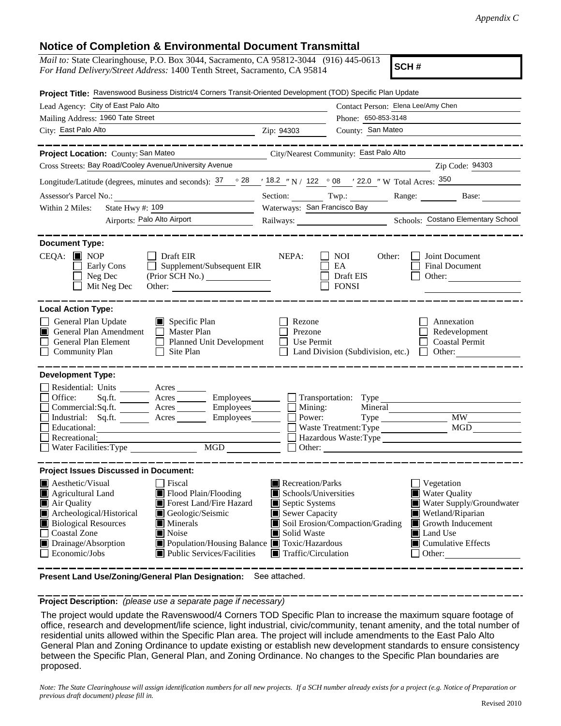## **Notice of Completion & Environmental Document Transmittal**

| <b>NUCLUS OF COMPLETION &amp; LITTLE CHILISTICS</b> DUCUTIENT FRIESHIKKAI                                                                                                                                                                                                                                                                                              |                                                                                                                                                                                                                                                                                                                                                                    |  |  |  |
|------------------------------------------------------------------------------------------------------------------------------------------------------------------------------------------------------------------------------------------------------------------------------------------------------------------------------------------------------------------------|--------------------------------------------------------------------------------------------------------------------------------------------------------------------------------------------------------------------------------------------------------------------------------------------------------------------------------------------------------------------|--|--|--|
| <i>Mail to:</i> State Clearinghouse, P.O. Box 3044, Sacramento, CA 95812-3044 (916) 445-0613<br>SCH#<br>For Hand Delivery/Street Address: 1400 Tenth Street, Sacramento, CA 95814                                                                                                                                                                                      |                                                                                                                                                                                                                                                                                                                                                                    |  |  |  |
| Project Title: Ravenswood Business District/4 Corners Transit-Oriented Development (TOD) Specific Plan Update                                                                                                                                                                                                                                                          |                                                                                                                                                                                                                                                                                                                                                                    |  |  |  |
| Lead Agency: City of East Palo Alto                                                                                                                                                                                                                                                                                                                                    | Contact Person: Elena Lee/Amy Chen                                                                                                                                                                                                                                                                                                                                 |  |  |  |
| Mailing Address: 1960 Tate Street                                                                                                                                                                                                                                                                                                                                      | Phone: 650-853-3148                                                                                                                                                                                                                                                                                                                                                |  |  |  |
| City: East Palo Alto<br><u> 1989 - Johann Barbara, martin amerikan basar dan ba</u>                                                                                                                                                                                                                                                                                    | County: San Mateo<br>Zip: 94303                                                                                                                                                                                                                                                                                                                                    |  |  |  |
| __________<br>Project Location: County: San Mateo                                                                                                                                                                                                                                                                                                                      | --------------<br>City/Nearest Community: East Palo Alto                                                                                                                                                                                                                                                                                                           |  |  |  |
| Cross Streets: Bay Road/Cooley Avenue/University Avenue                                                                                                                                                                                                                                                                                                                | $\frac{1}{\sqrt{1-\frac{1}{2}}\sqrt{1-\frac{1}{2}}\sqrt{1-\frac{1}{2}}\sqrt{1-\frac{1}{2}}}}$ Zip Code: 94303                                                                                                                                                                                                                                                      |  |  |  |
|                                                                                                                                                                                                                                                                                                                                                                        | Longitude/Latitude (degrees, minutes and seconds): $\frac{37}{28}$ $\frac{28}{18.2}$ $\frac{18.2}{N}$ N / 122 $\degree$ 08 $\degree$ / 22.0 $\degree$ W Total Acres: $\frac{350}{28.2}$                                                                                                                                                                            |  |  |  |
| Assessor's Parcel No.:                                                                                                                                                                                                                                                                                                                                                 | Section: Twp.: Range: Base: Base:                                                                                                                                                                                                                                                                                                                                  |  |  |  |
| State Hwy $\#$ : $109$<br>Within 2 Miles:                                                                                                                                                                                                                                                                                                                              | Waterways: San Francisco Bay                                                                                                                                                                                                                                                                                                                                       |  |  |  |
| Airports: Palo Alto Airport                                                                                                                                                                                                                                                                                                                                            |                                                                                                                                                                                                                                                                                                                                                                    |  |  |  |
| <b>Document Type:</b>                                                                                                                                                                                                                                                                                                                                                  |                                                                                                                                                                                                                                                                                                                                                                    |  |  |  |
| $CEQA:$ MOP<br>$\Box$ Draft EIR<br>Supplement/Subsequent EIR<br>Early Cons<br>(Prior SCH No.) ________________<br>Neg Dec<br>Mit Neg Dec<br>Other:                                                                                                                                                                                                                     | <b>Joint Document</b><br>NEPA:<br>    NOI<br>Other:<br>EA<br><b>Final Document</b><br>Draft EIS<br>Other: $\qquad \qquad$<br><b>FONSI</b>                                                                                                                                                                                                                          |  |  |  |
| <b>Local Action Type:</b>                                                                                                                                                                                                                                                                                                                                              |                                                                                                                                                                                                                                                                                                                                                                    |  |  |  |
| General Plan Update<br>$\Box$ Specific Plan<br>General Plan Amendment<br>Master Plan<br>General Plan Element<br>Planned Unit Development<br><b>Community Plan</b><br>$\Box$ Site Plan                                                                                                                                                                                  | Rezone<br>Annexation<br>Redevelopment<br>Prezone<br>Use Permit<br><b>Coastal Permit</b><br>Land Division (Subdivision, etc.)<br>Other:<br>$\perp$                                                                                                                                                                                                                  |  |  |  |
| <b>Development Type:</b>                                                                                                                                                                                                                                                                                                                                               |                                                                                                                                                                                                                                                                                                                                                                    |  |  |  |
| Residential: Units _________ Acres _______<br>Office:<br>Sq.fit.<br>Commercial:Sq.ft. ________ Acres _________ Employees _______ __ Mining:<br>Industrial: Sq.ft. _______ Acres ________ Employees________ [<br>Educational:<br>Recreational:<br>MGD <sup>1</sup>                                                                                                      | Acres Employees Transportation: Type<br>Mineral<br>Type MW<br>Power:<br>MGD<br>Waste Treatment: Type<br>Hazardous Waste: Type<br>Other:                                                                                                                                                                                                                            |  |  |  |
| <b>Project Issues Discussed in Document:</b>                                                                                                                                                                                                                                                                                                                           |                                                                                                                                                                                                                                                                                                                                                                    |  |  |  |
| <b>Aesthetic/Visual</b><br>Fiscal<br>Agricultural Land<br>Flood Plain/Flooding<br>Forest Land/Fire Hazard<br>Air Quality<br>Geologic/Seismic<br>Archeological/Historical<br><b>Biological Resources</b><br>$\blacksquare$ Minerals<br><b>Coastal Zone</b><br>Noise<br>Drainage/Absorption<br>Population/Housing Balance<br>Economic/Jobs<br>Public Services/Facilities | Recreation/Parks<br>Vegetation<br>Schools/Universities<br><b>Water Quality</b><br>Water Supply/Groundwater<br>Septic Systems<br>Sewer Capacity<br>Wetland/Riparian<br>Soil Erosion/Compaction/Grading<br>Growth Inducement<br>Land Use<br>Solid Waste<br>Ш<br>$\blacksquare$ Toxic/Hazardous<br>$\blacksquare$ Cumulative Effects<br>Traffic/Circulation<br>Other: |  |  |  |

**Present Land Use/Zoning/General Plan Designation:** See attached.

**Project Description:** *(please use a separate page if necessary)*

The project would update the Ravenswood/4 Corners TOD Specific Plan to increase the maximum square footage of office, research and development/life science, light industrial, civic/community, tenant amenity, and the total number of residential units allowed within the Specific Plan area. The project will include amendments to the East Palo Alto General Plan and Zoning Ordinance to update existing or establish new development standards to ensure consistency between the Specific Plan, General Plan, and Zoning Ordinance. No changes to the Specific Plan boundaries are proposed.

*Note: The State Clearinghouse will assign identification numbers for all new projects. If a SCH number already exists for a project (e.g. Notice of Preparation or previous draft document) please fill in.*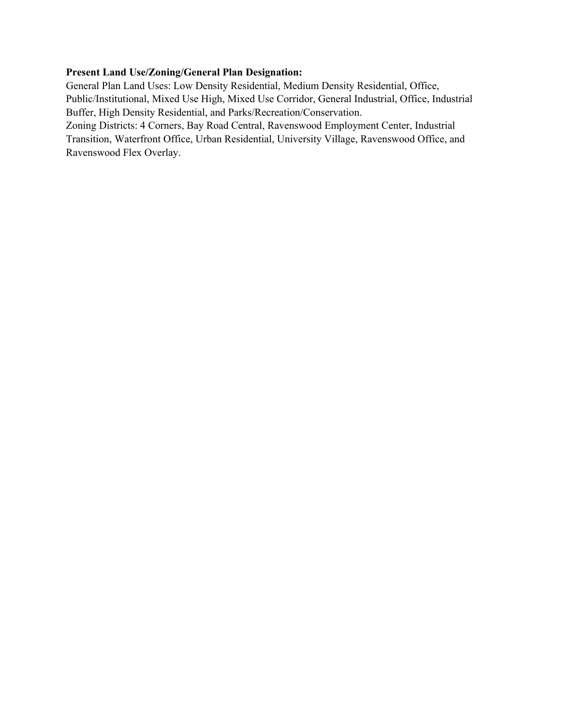## **Present Land Use/Zoning/General Plan Designation:**

General Plan Land Uses: Low Density Residential, Medium Density Residential, Office, Public/Institutional, Mixed Use High, Mixed Use Corridor, General Industrial, Office, Industrial Buffer, High Density Residential, and Parks/Recreation/Conservation.

Zoning Districts: 4 Corners, Bay Road Central, Ravenswood Employment Center, Industrial Transition, Waterfront Office, Urban Residential, University Village, Ravenswood Office, and Ravenswood Flex Overlay.